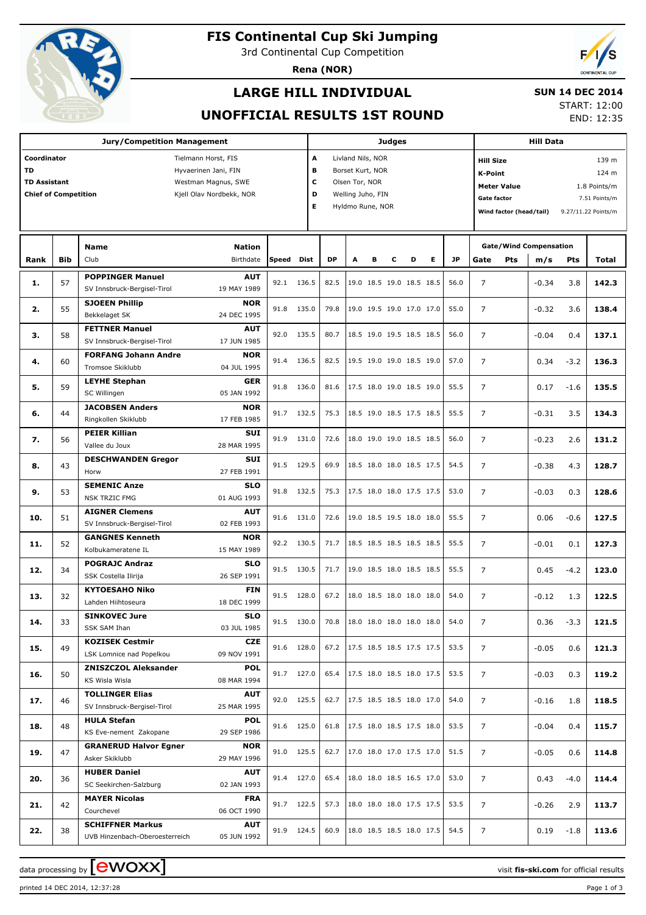

# **FIS Continental Cup Ski Jumping**

3rd Continental Cup Competition

**Rena (NOR)**



## **LARGE HILL INDIVIDUAL**

#### **SUN 14 DEC 2014**

### **UNOFFICIAL RESULTS 1ST ROUND**

START: 12:00 END: 12:35

|                                    |            | <b>Jury/Competition Management</b>                 |                           |              |             |           |                        |                       | <b>Judges</b> |                                      |                          |           |                    |                         |                           |                                                                                                                                                                                                                                                                                                                                                                                                            |              |  |  |  |
|------------------------------------|------------|----------------------------------------------------|---------------------------|--------------|-------------|-----------|------------------------|-----------------------|---------------|--------------------------------------|--------------------------|-----------|--------------------|-------------------------|---------------------------|------------------------------------------------------------------------------------------------------------------------------------------------------------------------------------------------------------------------------------------------------------------------------------------------------------------------------------------------------------------------------------------------------------|--------------|--|--|--|
| Coordinator<br>Tielmann Horst, FIS |            |                                                    |                           |              |             |           | A<br>Livland Nils, NOR |                       |               |                                      |                          |           |                    |                         | 139 m<br><b>Hill Size</b> |                                                                                                                                                                                                                                                                                                                                                                                                            |              |  |  |  |
| <b>TD</b><br>Hyvaerinen Jani, FIN  |            |                                                    |                           |              |             |           |                        | в<br>Borset Kurt, NOR |               |                                      |                          |           |                    |                         | <b>K-Point</b><br>124 m   |                                                                                                                                                                                                                                                                                                                                                                                                            |              |  |  |  |
| <b>TD Assistant</b>                |            |                                                    | Westman Magnus, SWE       |              | c           |           | Olsen Tor, NOR         |                       |               |                                      |                          |           |                    | <b>Meter Value</b>      |                           |                                                                                                                                                                                                                                                                                                                                                                                                            | 1.8 Points/m |  |  |  |
| <b>Chief of Competition</b>        |            |                                                    | Kjell Olav Nordbekk, NOR  |              | D           |           | Welling Juho, FIN      |                       |               |                                      |                          |           | <b>Gate factor</b> |                         |                           | <b>Hill Data</b><br>7.51 Points/m<br>9.27/11.22 Points/m<br>m/s<br>Pts<br>$-0.34$<br>3.8<br>$-0.32$<br>3.6<br>$-0.04$<br>0.4<br>0.34<br>$-3.2$<br>0.17<br>$-1.6$<br>$-0.31$<br>3.5<br>$-0.23$<br>2.6<br>$-0.38$<br>4.3<br>$-0.03$<br>0.3<br>0.06<br>$-0.6$<br>$-0.01$<br>0.1<br>0.45<br>$-4.2$<br>$-0.12$<br>1.3<br>0.36<br>$-3.3$<br>$-0.05$<br>0.6<br>$-0.03$<br>0.3<br>$-0.16$<br>1.8<br>$-0.04$<br>0.4 |              |  |  |  |
|                                    |            |                                                    |                           |              | E           |           | Hyldmo Rune, NOR       |                       |               |                                      |                          |           |                    | Wind factor (head/tail) |                           |                                                                                                                                                                                                                                                                                                                                                                                                            |              |  |  |  |
|                                    |            |                                                    |                           |              |             |           |                        |                       |               |                                      |                          |           |                    |                         |                           |                                                                                                                                                                                                                                                                                                                                                                                                            |              |  |  |  |
|                                    |            |                                                    |                           |              |             |           |                        |                       |               |                                      |                          |           |                    |                         |                           |                                                                                                                                                                                                                                                                                                                                                                                                            |              |  |  |  |
|                                    |            | <b>Name</b>                                        | <b>Nation</b>             |              |             |           |                        |                       |               |                                      |                          |           |                    |                         |                           |                                                                                                                                                                                                                                                                                                                                                                                                            |              |  |  |  |
| Rank                               | <b>Bib</b> | Club                                               | Birthdate                 | <b>Speed</b> | <b>Dist</b> | <b>DP</b> | A                      | в                     | С             | D                                    | Е                        | <b>JP</b> | Gate               | <b>Pts</b>              |                           |                                                                                                                                                                                                                                                                                                                                                                                                            | Total        |  |  |  |
| 1.                                 | 57         | <b>POPPINGER Manuel</b>                            | <b>AUT</b>                | 92.1         | 136.5       | 82.5      |                        |                       |               | 19.0 18.5 19.0 18.5 18.5             |                          | 56.0      | $\overline{7}$     |                         |                           |                                                                                                                                                                                                                                                                                                                                                                                                            | 142.3        |  |  |  |
|                                    |            | SV Innsbruck-Bergisel-Tirol                        | 19 MAY 1989               |              |             |           |                        |                       |               |                                      |                          |           |                    |                         |                           |                                                                                                                                                                                                                                                                                                                                                                                                            |              |  |  |  |
| 2.                                 | 55         | <b>SJOEEN Phillip</b>                              | <b>NOR</b>                | 91.8         | 135.0       | 79.8      |                        |                       |               | 19.0 19.5 19.0 17.0 17.0             |                          | 55.0      | $\overline{7}$     |                         |                           |                                                                                                                                                                                                                                                                                                                                                                                                            | 138.4        |  |  |  |
|                                    |            | Bekkelaget SK                                      | 24 DEC 1995               |              |             |           |                        |                       |               |                                      |                          |           |                    |                         |                           |                                                                                                                                                                                                                                                                                                                                                                                                            |              |  |  |  |
| з.                                 | 58         | <b>FETTNER Manuel</b>                              | <b>AUT</b>                | 92.0         | 135.5       | 80.7      |                        |                       |               | 18.5 19.0 19.5 18.5 18.5             |                          | 56.0      | $\overline{7}$     |                         |                           |                                                                                                                                                                                                                                                                                                                                                                                                            | 137.1        |  |  |  |
|                                    |            | SV Innsbruck-Bergisel-Tirol                        | 17 JUN 1985               |              |             |           |                        |                       |               |                                      |                          |           |                    |                         |                           |                                                                                                                                                                                                                                                                                                                                                                                                            |              |  |  |  |
| 4.                                 | 60         | <b>FORFANG Johann Andre</b>                        | <b>NOR</b>                | 91.4         | 136.5       | 82.5      |                        |                       |               | 19.5 19.0 19.0 18.5 19.0             |                          | 57.0      | $\overline{7}$     |                         |                           |                                                                                                                                                                                                                                                                                                                                                                                                            | 136.3        |  |  |  |
|                                    |            | Tromsoe Skiklubb                                   | 04 JUL 1995               |              |             |           |                        |                       |               |                                      |                          |           |                    |                         |                           |                                                                                                                                                                                                                                                                                                                                                                                                            |              |  |  |  |
| 5.                                 | 59         | <b>LEYHE Stephan</b><br>SC Willingen               | <b>GER</b><br>05 JAN 1992 | 91.8         | 136.0       | 81.6      |                        |                       |               | 17.5 18.0 19.0 18.5 19.0             |                          | 55.5      | $\overline{7}$     |                         |                           |                                                                                                                                                                                                                                                                                                                                                                                                            | 135.5        |  |  |  |
|                                    |            | <b>JACOBSEN Anders</b>                             | <b>NOR</b>                |              |             |           |                        |                       |               |                                      |                          |           |                    |                         |                           |                                                                                                                                                                                                                                                                                                                                                                                                            |              |  |  |  |
| 6.                                 | 44         | Ringkollen Skiklubb                                | 17 FEB 1985               |              | 91.7 132.5  | 75.3      |                        |                       |               | 18.5 19.0 18.5 17.5 18.5             |                          | 55.5      | $\overline{7}$     |                         |                           |                                                                                                                                                                                                                                                                                                                                                                                                            | 134.3        |  |  |  |
|                                    |            | <b>PEIER Killian</b>                               | SUI                       |              |             |           |                        |                       |               |                                      |                          |           |                    |                         |                           |                                                                                                                                                                                                                                                                                                                                                                                                            |              |  |  |  |
| 7.                                 | 56         | Vallee du Joux                                     | 28 MAR 1995               | 91.9         | 131.0       | 72.6      |                        |                       |               | 18.0 19.0 19.0 18.5 18.5             |                          | 56.0      | $\overline{7}$     |                         |                           |                                                                                                                                                                                                                                                                                                                                                                                                            | 131.2        |  |  |  |
|                                    |            | <b>DESCHWANDEN Gregor</b>                          | SUI                       |              |             |           |                        |                       |               |                                      |                          |           |                    |                         |                           | <b>Gate/Wind Compensation</b><br>$-0.05$<br>0.6<br>0.43<br>$-4.0$<br>$-0.26$<br>2.9<br>0.19<br>$-1.8$                                                                                                                                                                                                                                                                                                      |              |  |  |  |
| 8.                                 | 43         | Horw                                               | 27 FEB 1991               |              | 91.5 129.5  | 69.9      |                        |                       |               | 18.5 18.0 18.0 18.5 17.5             |                          | 54.5      | $\overline{7}$     |                         |                           |                                                                                                                                                                                                                                                                                                                                                                                                            | 128.7        |  |  |  |
|                                    |            | <b>SEMENIC Anze</b>                                | <b>SLO</b>                |              |             |           |                        |                       |               |                                      |                          |           |                    |                         |                           |                                                                                                                                                                                                                                                                                                                                                                                                            |              |  |  |  |
| 9.                                 | 53         | <b>NSK TRZIC FMG</b>                               | 01 AUG 1993               | 91.8         | 132.5       | 75.3      |                        |                       |               | 17.5 18.0 18.0 17.5 17.5             |                          | 53.0      | $\overline{7}$     |                         |                           |                                                                                                                                                                                                                                                                                                                                                                                                            | 128.6        |  |  |  |
|                                    |            | <b>AIGNER Clemens</b>                              | <b>AUT</b>                |              |             |           |                        |                       |               |                                      |                          |           |                    |                         |                           |                                                                                                                                                                                                                                                                                                                                                                                                            |              |  |  |  |
| 10.                                | 51         | SV Innsbruck-Bergisel-Tirol                        | 02 FEB 1993               | 91.6         | 131.0       | 72.6      |                        |                       |               | 19.0 18.5 19.5 18.0 18.0             |                          | 55.5      | $\overline{7}$     |                         |                           |                                                                                                                                                                                                                                                                                                                                                                                                            | 127.5        |  |  |  |
| 11.                                | 52         | <b>GANGNES Kenneth</b>                             | <b>NOR</b>                |              | 92.2 130.5  | 71.7      |                        |                       |               | 18.5 18.5 18.5 18.5 18.5             |                          | 55.5      | $\overline{7}$     |                         |                           |                                                                                                                                                                                                                                                                                                                                                                                                            | 127.3        |  |  |  |
|                                    |            | Kolbukameratene IL                                 | 15 MAY 1989               |              |             |           |                        |                       |               |                                      |                          |           |                    |                         |                           |                                                                                                                                                                                                                                                                                                                                                                                                            |              |  |  |  |
| 12.                                | 34         | <b>POGRAJC Andraz</b>                              | <b>SLO</b>                |              | 91.5 130.5  | 71.7      |                        |                       |               | 19.0 18.5 18.0 18.5 18.5             |                          | 55.5      | $\overline{7}$     |                         |                           |                                                                                                                                                                                                                                                                                                                                                                                                            | 123.0        |  |  |  |
|                                    |            | SSK Costella Ilirija                               | 26 SEP 1991               |              |             |           |                        |                       |               |                                      |                          |           |                    |                         |                           |                                                                                                                                                                                                                                                                                                                                                                                                            |              |  |  |  |
| 13.                                | 32         | <b>KYTOESAHO Niko</b>                              | <b>FIN</b>                |              | 91.5 128.0  | 67.2      |                        |                       |               | 18.0 18.5 18.0 18.0 18.0             |                          | 54.0      | $\overline{7}$     |                         |                           |                                                                                                                                                                                                                                                                                                                                                                                                            | 122.5        |  |  |  |
|                                    |            | Lahden Hiihtoseura                                 | 18 DEC 1999               |              |             |           |                        |                       |               |                                      |                          |           |                    |                         |                           |                                                                                                                                                                                                                                                                                                                                                                                                            |              |  |  |  |
| 14.                                | 33         | <b>SINKOVEC Jure</b>                               | <b>SLO</b>                |              | 91.5 130.0  | 70.8      |                        |                       |               | $ 18.0 \t18.0 \t18.0 \t18.0 \t18.0 $ |                          | 54.0      | 7                  |                         |                           |                                                                                                                                                                                                                                                                                                                                                                                                            | 121.5        |  |  |  |
|                                    |            | SSK SAM Ihan                                       | 03 JUL 1985               |              |             |           |                        |                       |               |                                      |                          |           |                    |                         |                           |                                                                                                                                                                                                                                                                                                                                                                                                            |              |  |  |  |
| 15.                                | 49         | <b>KOZISEK Cestmir</b><br>LSK Lomnice nad Popelkou | CZE<br>09 NOV 1991        |              | 91.6 128.0  | 67.2      |                        |                       |               | 17.5 18.5 18.5 17.5 17.5             |                          | 53.5      | $\overline{7}$     |                         |                           |                                                                                                                                                                                                                                                                                                                                                                                                            | 121.3        |  |  |  |
|                                    |            | <b>ZNISZCZOL Aleksander</b>                        | <b>POL</b>                |              |             |           |                        |                       |               |                                      |                          |           |                    |                         |                           |                                                                                                                                                                                                                                                                                                                                                                                                            |              |  |  |  |
| 16.                                | 50         | KS Wisla Wisla                                     | 08 MAR 1994               |              | 91.7 127.0  | 65.4      |                        |                       |               |                                      | 17.5 18.0 18.5 18.0 17.5 | 53.5      | 7                  |                         |                           |                                                                                                                                                                                                                                                                                                                                                                                                            | 119.2        |  |  |  |
|                                    |            | <b>TOLLINGER Elias</b>                             | <b>AUT</b>                |              |             |           |                        |                       |               |                                      |                          |           |                    |                         |                           |                                                                                                                                                                                                                                                                                                                                                                                                            |              |  |  |  |
| 17.                                | 46         | SV Innsbruck-Bergisel-Tirol                        | 25 MAR 1995               |              | 92.0 125.5  | 62.7      |                        |                       |               | 17.5 18.5 18.5 18.0 17.0             |                          | 54.0      | $\overline{7}$     |                         |                           |                                                                                                                                                                                                                                                                                                                                                                                                            | 118.5        |  |  |  |
|                                    |            | <b>HULA Stefan</b>                                 | <b>POL</b>                |              |             |           |                        |                       |               |                                      |                          |           |                    |                         |                           |                                                                                                                                                                                                                                                                                                                                                                                                            |              |  |  |  |
| 18.                                | 48         | KS Eve-nement Zakopane                             | 29 SEP 1986               |              | 91.6 125.0  | 61.8      |                        |                       |               | 17.5 18.0 18.5 17.5 18.0             |                          | 53.5      | $\overline{7}$     |                         |                           |                                                                                                                                                                                                                                                                                                                                                                                                            | 115.7        |  |  |  |
|                                    |            | <b>GRANERUD Halvor Egner</b>                       | <b>NOR</b>                |              |             |           |                        |                       |               |                                      |                          |           |                    |                         |                           |                                                                                                                                                                                                                                                                                                                                                                                                            |              |  |  |  |
| 19.                                | 47         | Asker Skiklubb                                     | 29 MAY 1996               |              | 91.0 125.5  | 62.7      |                        |                       |               | 17.0 18.0 17.0 17.5 17.0             |                          | 51.5      | $\overline{7}$     |                         |                           |                                                                                                                                                                                                                                                                                                                                                                                                            | 114.8        |  |  |  |
|                                    |            | <b>HUBER Daniel</b>                                | <b>AUT</b>                |              |             |           |                        |                       |               |                                      |                          |           |                    |                         |                           |                                                                                                                                                                                                                                                                                                                                                                                                            |              |  |  |  |
| 20.                                | 36         | SC Seekirchen-Salzburg                             | 02 JAN 1993               |              | 91.4 127.0  | 65.4      |                        |                       |               | 18.0 18.0 18.5 16.5 17.0             |                          | 53.0      | $\overline{7}$     |                         |                           |                                                                                                                                                                                                                                                                                                                                                                                                            | 114.4        |  |  |  |
|                                    |            | <b>MAYER Nicolas</b>                               | <b>FRA</b>                |              | 91.7 122.5  | 57.3      |                        |                       |               | 18.0 18.0 18.0 17.5 17.5             |                          | 53.5      |                    |                         |                           |                                                                                                                                                                                                                                                                                                                                                                                                            |              |  |  |  |
| 21.                                | 42         | Courchevel                                         | 06 OCT 1990               |              |             |           |                        |                       |               |                                      |                          |           | $\overline{7}$     |                         |                           |                                                                                                                                                                                                                                                                                                                                                                                                            | 113.7        |  |  |  |
| 22.                                | 38         | <b>SCHIFFNER Markus</b>                            | <b>AUT</b>                |              | 91.9 124.5  | 60.9      |                        |                       |               | 18.0 18.5 18.5 18.0 17.5             |                          | 54.5      | $\overline{7}$     |                         |                           |                                                                                                                                                                                                                                                                                                                                                                                                            | 113.6        |  |  |  |
|                                    |            | UVB Hinzenbach-Oberoesterreich                     | 05 JUN 1992               |              |             |           |                        |                       |               |                                      |                          |           |                    |                         |                           |                                                                                                                                                                                                                                                                                                                                                                                                            |              |  |  |  |

data processing by **CWOXX** and  $\overline{C}$  and  $\overline{C}$  and  $\overline{C}$  and  $\overline{C}$  and  $\overline{C}$  and  $\overline{C}$  and  $\overline{C}$  and  $\overline{C}$  and  $\overline{C}$  and  $\overline{C}$  and  $\overline{C}$  and  $\overline{C}$  and  $\overline{C}$  and  $\overline{C}$  and  $\overline{C}$ 

printed 14 DEC 2014, 12:37:28 Page 1 of 3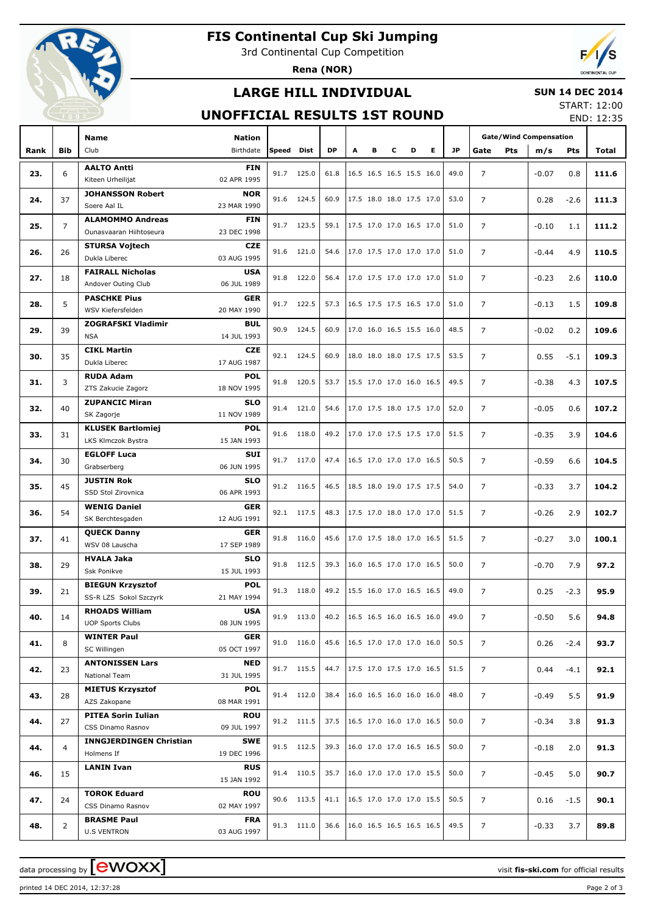

# **FIS Continental Cup Ski Jumping**

3rd Continental Cup Competition

**Rena (NOR)**



## **LARGE HILL INDIVIDUAL**

#### **SUN 14 DEC 2014**

### **UNOFFICIAL RESULTS 1ST ROUND**

START: 12:00 END: 12:35

|      |                | Name                                                          | <b>Nation</b> |       |            |           |   |   |   |                                 |      | <b>Gate/Wind Compensation</b> |         |        |       |
|------|----------------|---------------------------------------------------------------|---------------|-------|------------|-----------|---|---|---|---------------------------------|------|-------------------------------|---------|--------|-------|
| Rank | <b>Bib</b>     | Club                                                          | Birthdate     | Speed | Dist       | <b>DP</b> | A | в | c | Е<br>D                          | JP.  | Gate<br><b>Pts</b>            | m/s     | Pts    | Total |
|      |                |                                                               |               |       |            |           |   |   |   |                                 |      |                               |         |        |       |
| 23.  | 6              | <b>AALTO Antti</b><br>02 APR 1995<br>Kiteen Urheilijat        | <b>FIN</b>    | 91.7  | 125.0      | 61.8      |   |   |   | 16.5 16.5 16.5 15.5 16.0        | 49.0 | $\overline{7}$                | $-0.07$ | 0.8    | 111.6 |
|      |                | <b>JOHANSSON Robert</b>                                       | <b>NOR</b>    |       |            |           |   |   |   |                                 |      |                               |         |        |       |
| 24.  | 37             | Soere Aal IL<br>23 MAR 1990                                   |               |       | 91.6 124.5 | 60.9      |   |   |   | 17.5 18.0 18.0 17.5 17.0        | 53.0 | $\overline{7}$                | 0.28    | $-2.6$ | 111.3 |
|      |                | <b>ALAMOMMO Andreas</b>                                       | FIN           |       |            |           |   |   |   |                                 |      |                               |         |        |       |
| 25.  | $\overline{7}$ | Ounasvaaran Hiihtoseura<br>23 DEC 1998                        |               |       | 91.7 123.5 | 59.1      |   |   |   | 17.5 17.0 17.0 16.5 17.0        | 51.0 | $\overline{7}$                | $-0.10$ | 1.1    | 111.2 |
|      |                | <b>STURSA Vojtech</b>                                         | CZE           |       |            |           |   |   |   |                                 |      |                               |         |        |       |
| 26.  | 26             | 03 AUG 1995<br>Dukla Liberec                                  |               |       | 91.6 121.0 | 54.6      |   |   |   | 17.0 17.5 17.0 17.0 17.0        | 51.0 | $\overline{7}$                | $-0.44$ | 4.9    | 110.5 |
|      |                | <b>FAIRALL Nicholas</b>                                       | <b>USA</b>    |       |            |           |   |   |   |                                 |      |                               |         |        |       |
| 27.  | 18             | Andover Outing Club<br>06 JUL 1989                            |               |       | 91.8 122.0 | 56.4      |   |   |   | 17.0 17.5 17.0 17.0 17.0        | 51.0 | $\overline{7}$                | $-0.23$ | 2.6    | 110.0 |
| 28.  | 5              | <b>PASCHKE Pius</b>                                           | GER           |       | 91.7 122.5 | 57.3      |   |   |   | 16.5 17.5 17.5 16.5 17.0        | 51.0 | $\overline{7}$                | $-0.13$ | 1.5    | 109.8 |
|      |                | WSV Kiefersfelden<br>20 MAY 1990                              |               |       |            |           |   |   |   |                                 |      |                               |         |        |       |
| 29.  | 39             | <b>ZOGRAFSKI Vladimir</b>                                     | <b>BUL</b>    | 90.9  | 124.5      | 60.9      |   |   |   | 17.0 16.0 16.5 15.5 16.0        | 48.5 | $\overline{7}$                | $-0.02$ | 0.2    | 109.6 |
|      |                | <b>NSA</b><br>14 JUL 1993                                     |               |       |            |           |   |   |   |                                 |      |                               |         |        |       |
| 30.  | 35             | <b>CIKL Martin</b>                                            | <b>CZE</b>    |       | 92.1 124.5 | 60.9      |   |   |   | 18.0 18.0 18.0 17.5 17.5        | 53.5 | $\overline{7}$                | 0.55    | $-5.1$ | 109.3 |
|      |                | 17 AUG 1987<br>Dukla Liberec                                  |               |       |            |           |   |   |   |                                 |      |                               |         |        |       |
| 31.  | 3              | <b>RUDA Adam</b>                                              | <b>POL</b>    |       | 91.8 120.5 | 53.7      |   |   |   | 15.5 17.0 17.0 16.0 16.5        | 49.5 | $\overline{7}$                | $-0.38$ | 4.3    | 107.5 |
|      |                | ZTS Zakucie Zagorz<br>18 NOV 1995                             |               |       |            |           |   |   |   |                                 |      |                               |         |        |       |
| 32.  | 40             | <b>ZUPANCIC Miran</b>                                         | <b>SLO</b>    | 91.4  | 121.0      | 54.6      |   |   |   | $17.0$ 17.5 18.0 17.5 17.0      | 52.0 | $\overline{7}$                | $-0.05$ | 0.6    | 107.2 |
|      |                | SK Zagorje<br>11 NOV 1989                                     | POL           |       |            |           |   |   |   |                                 |      |                               |         |        |       |
| 33.  | 31             | <b>KLUSEK Bartlomiej</b><br>LKS Klmczok Bystra<br>15 JAN 1993 |               |       | 91.6 118.0 | 49.2      |   |   |   | 17.0 17.0 17.5 17.5 17.0        | 51.5 | $\overline{7}$                | $-0.35$ | 3.9    | 104.6 |
|      |                | <b>EGLOFF Luca</b>                                            | SUI           |       |            |           |   |   |   |                                 |      |                               |         |        |       |
| 34.  | 30             | 06 JUN 1995<br>Grabserberg                                    |               |       | 91.7 117.0 | 47.4      |   |   |   | 16.5 17.0 17.0 17.0 16.5        | 50.5 | $\overline{7}$                | $-0.59$ | 6.6    | 104.5 |
|      |                | <b>JUSTIN Rok</b>                                             | <b>SLO</b>    |       |            |           |   |   |   |                                 |      |                               |         |        |       |
| 35.  | 45             | 06 APR 1993<br>SSD Stol Zirovnica                             |               |       | 91.2 116.5 | 46.5      |   |   |   | 18.5 18.0 19.0 17.5 17.5        | 54.0 | $\overline{7}$                | $-0.33$ | 3.7    | 104.2 |
|      |                | <b>WENIG Daniel</b>                                           | GER           |       |            |           |   |   |   |                                 |      |                               |         |        |       |
| 36.  | 54             | 12 AUG 1991<br>SK Berchtesgaden                               |               |       | 92.1 117.5 | 48.3      |   |   |   | 17.5 17.0 18.0 17.0 17.0        | 51.5 | $\overline{7}$                | $-0.26$ | 2.9    | 102.7 |
| 37.  | 41             | <b>QUECK Danny</b>                                            | GER           |       | 91.8 116.0 | 45.6      |   |   |   | 17.0 17.5 18.0 17.0 16.5        | 51.5 | $\overline{7}$                | $-0.27$ |        | 100.1 |
|      |                | WSV 08 Lauscha<br>17 SEP 1989                                 |               |       |            |           |   |   |   |                                 |      |                               |         | 3.0    |       |
| 38.  | 29             | <b>HVALA Jaka</b>                                             | <b>SLO</b>    |       | 91.8 112.5 | 39.3      |   |   |   | 16.0 16.5 17.0 17.0 16.5        | 50.0 | $\overline{7}$                | $-0.70$ | 7.9    | 97.2  |
|      |                | Ssk Ponikve<br>15 JUL 1993                                    |               |       |            |           |   |   |   |                                 |      |                               |         |        |       |
| 39.  | 21             | <b>BIEGUN Krzysztof</b>                                       | <b>POL</b>    |       | 91.3 118.0 | 49.2      |   |   |   | 15.5 16.0 17.0 16.5 16.5        | 49.0 | 7                             | 0.25    | $-2.3$ | 95.9  |
|      |                | 21 MAY 1994<br>SS-R LZS Sokol Szczyrk                         |               |       |            |           |   |   |   |                                 |      |                               |         |        |       |
| 40.  | 14             | <b>RHOADS William</b>                                         | <b>USA</b>    |       | 91.9 113.0 | 40.2      |   |   |   | 16.5 16.5 16.0 16.5 16.0        | 49.0 | $\overline{7}$                | $-0.50$ | 5.6    | 94.8  |
|      |                | <b>UOP Sports Clubs</b><br>08 JUN 1995                        |               |       |            |           |   |   |   |                                 |      |                               |         |        |       |
| 41.  | 8              | <b>WINTER Paul</b><br>05 OCT 1997<br>SC Willingen             | <b>GER</b>    |       | 91.0 116.0 | 45.6      |   |   |   | 16.5 17.0 17.0 17.0 16.0        | 50.5 | $\overline{7}$                | 0.26    | $-2.4$ | 93.7  |
|      |                | <b>ANTONISSEN Lars</b>                                        | NED           |       |            |           |   |   |   |                                 |      |                               |         |        |       |
| 42.  | 23             | National Team<br>31 JUL 1995                                  |               |       | 91.7 115.5 | 44.7      |   |   |   | 17.5 17.0 17.5 17.0 16.5        | 51.5 | $\overline{7}$                | 0.44    | $-4.1$ | 92.1  |
|      |                | <b>MIETUS Krzysztof</b>                                       | <b>POL</b>    |       |            |           |   |   |   |                                 |      |                               |         |        |       |
| 43.  | 28             | AZS Zakopane<br>08 MAR 1991                                   |               |       | 91.4 112.0 | 38.4      |   |   |   | 16.0 16.5 16.0 16.0 16.0        | 48.0 | $\overline{7}$                | $-0.49$ | 5.5    | 91.9  |
|      |                | <b>PITEA Sorin Iulian</b>                                     | <b>ROU</b>    |       |            |           |   |   |   |                                 |      |                               |         |        |       |
| 44.  | 27             | CSS Dinamo Rasnov<br>09 JUL 1997                              |               |       | 91.2 111.5 | 37.5      |   |   |   | 16.5 17.0 16.0 17.0 16.5        | 50.0 | $\overline{7}$                | $-0.34$ | 3.8    | 91.3  |
|      |                | <b>INNGJERDINGEN Christian</b>                                | SWE           |       | 91.5 112.5 | 39.3      |   |   |   | 16.0 17.0 17.0 16.5 16.5        | 50.0 |                               |         |        |       |
| 44.  | $\overline{4}$ | Holmens If<br>19 DEC 1996                                     |               |       |            |           |   |   |   |                                 |      | $\overline{7}$                | -0.18   | 2.0    | 91.3  |
| 46.  | 15             | <b>LANIN Ivan</b>                                             | <b>RUS</b>    |       | 91.4 110.5 | 35.7      |   |   |   | 16.0 17.0 17.0 17.0 15.5        | 50.0 | $\overline{7}$                | -0.45   | 5.0    | 90.7  |
|      |                | 15 JAN 1992                                                   |               |       |            |           |   |   |   |                                 |      |                               |         |        |       |
| 47.  | 24             | <b>TOROK Eduard</b>                                           | <b>ROU</b>    |       | 90.6 113.5 | 41.1      |   |   |   | 16.5 17.0 17.0 17.0 15.5        | 50.5 | $\overline{7}$                | 0.16    | $-1.5$ | 90.1  |
|      |                | CSS Dinamo Rasnov<br>02 MAY 1997                              |               |       |            |           |   |   |   |                                 |      |                               |         |        |       |
| 48.  | $\overline{2}$ | <b>BRASME Paul</b>                                            | <b>FRA</b>    |       | 91.3 111.0 |           |   |   |   | 36.6   16.0 16.5 16.5 16.5 16.5 | 49.5 | $\overline{7}$                | $-0.33$ | 3.7    | 89.8  |
|      |                | 03 AUG 1997<br><b>U.S VENTRON</b>                             |               |       |            |           |   |   |   |                                 |      |                               |         |        |       |

printed 14 DEC 2014, 12:37:28 Page 2 of 3

data processing by **CWOXX** and  $\overline{A}$  wisit **fis-ski.com** for official results